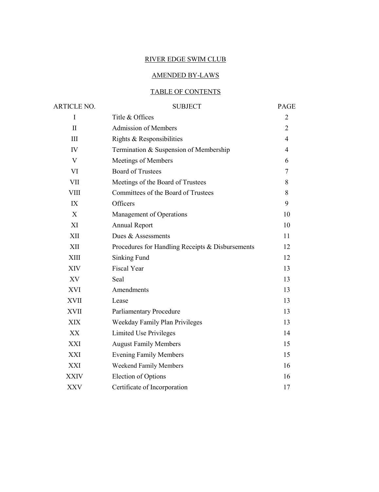# RIVER EDGE SWIM CLUB

# AMENDED BY-LAWS

# TABLE OF CONTENTS

| ARTICLE NO.  | <b>SUBJECT</b>                                   | PAGE           |
|--------------|--------------------------------------------------|----------------|
| I            | Title & Offices                                  | $\overline{2}$ |
| $\mathbf{I}$ | <b>Admission of Members</b>                      | $\overline{2}$ |
| III          | Rights & Responsibilities                        | $\overline{4}$ |
| ${\rm IV}$   | Termination & Suspension of Membership           | $\overline{4}$ |
| V            | Meetings of Members                              | 6              |
| <b>VI</b>    | <b>Board of Trustees</b>                         | 7              |
| <b>VII</b>   | Meetings of the Board of Trustees                | 8              |
| VIII         | Committees of the Board of Trustees              | 8              |
| IX           | Officers                                         | 9              |
| X            | Management of Operations                         | 10             |
| XI           | Annual Report                                    | 10             |
| XII          | Dues & Assessments                               | 11             |
| XII          | Procedures for Handling Receipts & Disbursements | 12             |
| XIII         | Sinking Fund                                     | 12             |
| <b>XIV</b>   | <b>Fiscal Year</b>                               | 13             |
| XV           | Seal                                             | 13             |
| XVI          | Amendments                                       | 13             |
| XVII         | Lease                                            | 13             |
| <b>XVII</b>  | <b>Parliamentary Procedure</b>                   | 13             |
| <b>XIX</b>   | Weekday Family Plan Privileges                   | 13             |
| XX           | Limited Use Privileges                           | 14             |
| XXI          | <b>August Family Members</b>                     | 15             |
| XXI          | <b>Evening Family Members</b>                    | 15             |
| XXI          | Weekend Family Members                           | 16             |
| <b>XXIV</b>  | <b>Election of Options</b>                       | 16             |
| <b>XXV</b>   | Certificate of Incorporation                     | 17             |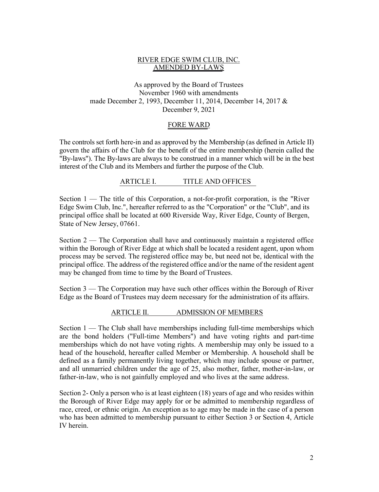## RIVER EDGE SWIM CLUB, INC. AMENDED BY-LAWS

# As approved by the Board of Trustees November 1960 with amendments made December 2, 1993, December 11, 2014, December 14, 2017 & December 9, 2021

## FORE WARD

The controls set forth here-in and as approved by the Membership (as defined in Article II) govern the affairs of the Club for the benefit of the entire membership (herein called the "By-laws"). The By-laws are always to be construed in a manner which will be in the best interest of the Club and its Members and further the purpose of the Club.

## ARTICLE I. TITLE AND OFFICES

Section 1 — The title of this Corporation, a not-for-profit corporation, is the "River Edge Swim Club, Inc.", hereafter referred to as the "Corporation" or the "Club", and its principal office shall be located at 600 Riverside Way, River Edge, County of Bergen, State of New Jersey, 07661.

Section 2 — The Corporation shall have and continuously maintain a registered office within the Borough of River Edge at which shall be located a resident agent, upon whom process may be served. The registered office may be, but need not be, identical with the principal office. The address of the registered office and/or the name of the resident agent may be changed from time to time by the Board of Trustees.

Section 3 — The Corporation may have such other offices within the Borough of River Edge as the Board of Trustees may deem necessary for the administration of its affairs.

# ARTICLE II. ADMISSION OF MEMBERS

Section 1 — The Club shall have memberships including full-time memberships which are the bond holders ("Full-time Members") and have voting rights and part-time memberships which do not have voting rights. A membership may only be issued to a head of the household, hereafter called Member or Membership. A household shall be defined as a family permanently living together, which may include spouse or partner, and all unmarried children under the age of 25, also mother, father, mother-in-law, or father-in-law, who is not gainfully employed and who lives at the same address.

Section 2- Only a person who is at least eighteen (18) years of age and who resides within the Borough of River Edge may apply for or be admitted to membership regardless of race, creed, or ethnic origin. An exception as to age may be made in the case of a person who has been admitted to membership pursuant to either Section 3 or Section 4, Article IV herein.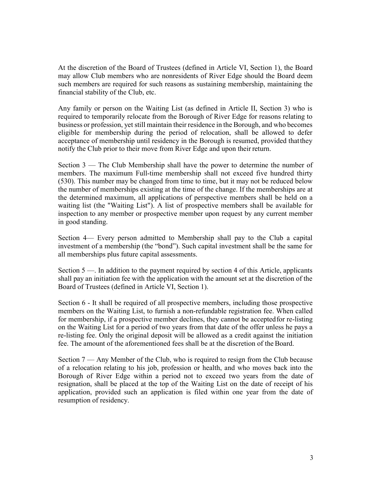At the discretion of the Board of Trustees (defined in Article VI, Section 1), the Board may allow Club members who are nonresidents of River Edge should the Board deem such members are required for such reasons as sustaining membership, maintaining the financial stability of the Club, etc.

Any family or person on the Waiting List (as defined in Article II, Section 3) who is required to temporarily relocate from the Borough of River Edge for reasons relating to business or profession, yet still maintain their residence in the Borough, and who becomes eligible for membership during the period of relocation, shall be allowed to defer acceptance of membership until residency in the Borough is resumed, provided thatthey notify the Club prior to their move from River Edge and upon their return.

Section 3 — The Club Membership shall have the power to determine the number of members. The maximum Full-time membership shall not exceed five hundred thirty (530). This number may be changed from time to time, but it may not be reduced below the number of memberships existing at the time of the change. If the memberships are at the determined maximum, all applications of perspective members shall be held on a waiting list (the "Waiting List"). A list of prospective members shall be available for inspection to any member or prospective member upon request by any current member in good standing.

Section 4— Every person admitted to Membership shall pay to the Club a capital investment of a membership (the "bond"). Such capital investment shall be the same for all memberships plus future capital assessments.

Section 5 —. In addition to the payment required by section 4 of this Article, applicants shall pay an initiation fee with the application with the amount set at the discretion of the Board of Trustees (defined in Article VI, Section 1).

Section 6 - It shall be required of all prospective members, including those prospective members on the Waiting List, to furnish a non-refundable registration fee. When called for membership, if a prospective member declines, they cannot be acceptedfor re-listing on the Waiting List for a period of two years from that date of the offer unless he pays a re-listing fee. Only the original deposit will be allowed as a credit against the initiation fee. The amount of the aforementioned fees shall be at the discretion of theBoard.

Section 7 — Any Member of the Club, who is required to resign from the Club because of a relocation relating to his job, profession or health, and who moves back into the Borough of River Edge within a period not to exceed two years from the date of resignation, shall be placed at the top of the Waiting List on the date of receipt of his application, provided such an application is filed within one year from the date of resumption of residency.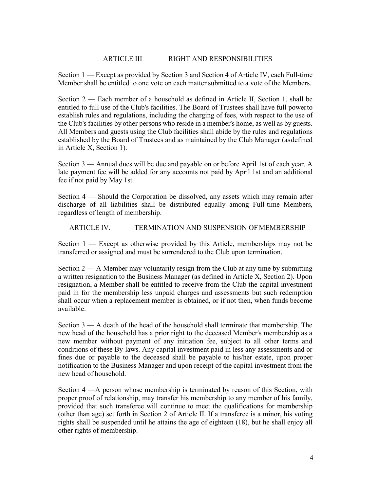# ARTICLE III RIGHT AND RESPONSIBILITIES

Section 1 — Except as provided by Section 3 and Section 4 of Article IV, each Full-time Member shall be entitled to one vote on each matter submitted to a vote of the Members.

Section 2 — Each member of a household as defined in Article II, Section 1, shall be entitled to full use of the Club's facilities. The Board of Trustees shall have full powerto establish rules and regulations, including the charging of fees, with respect to the use of the Club's facilities by other persons who reside in a member's home, as well as by guests. All Members and guests using the Club facilities shall abide by the rules and regulations established by the Board of Trustees and as maintained by the Club Manager (asdefined in Article X, Section 1).

Section 3 — Annual dues will be due and payable on or before April 1st of each year. A late payment fee will be added for any accounts not paid by April 1st and an additional fee if not paid by May 1st.

Section 4 — Should the Corporation be dissolved, any assets which may remain after discharge of all liabilities shall be distributed equally among Full-time Members, regardless of length of membership.

## ARTICLE IV. TERMINATION AND SUSPENSION OF MEMBERSHIP

Section  $1 -$  Except as otherwise provided by this Article, memberships may not be transferred or assigned and must be surrendered to the Club upon termination.

Section  $2 - A$  Member may voluntarily resign from the Club at any time by submitting a written resignation to the Business Manager (as defined in Article X, Section 2). Upon resignation, a Member shall be entitled to receive from the Club the capital investment paid in for the membership less unpaid charges and assessments but such redemption shall occur when a replacement member is obtained, or if not then, when funds become available.

Section 3 — A death of the head of the household shall terminate that membership. The new head of the household has a prior right to the deceased Member's membership as a new member without payment of any initiation fee, subject to all other terms and conditions of these By-laws. Any capital investment paid in less any assessments and or fines due or payable to the deceased shall be payable to his/her estate, upon proper notification to the Business Manager and upon receipt of the capital investment from the new head of household.

Section 4 —A person whose membership is terminated by reason of this Section, with proper proof of relationship, may transfer his membership to any member of his family, provided that such transferee will continue to meet the qualifications for membership (other than age) set forth in Section 2 of Article II. If a transferee is a minor, his voting rights shall be suspended until he attains the age of eighteen (18), but he shall enjoy all other rights of membership.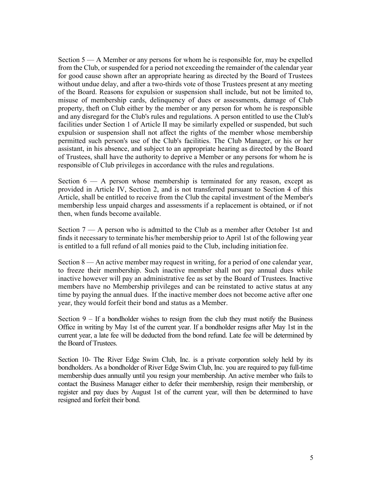Section 5 — A Member or any persons for whom he is responsible for, may be expelled from the Club, or suspended for a period not exceeding the remainder of the calendar year for good cause shown after an appropriate hearing as directed by the Board of Trustees without undue delay, and after a two-thirds vote of those Trustees present at any meeting of the Board. Reasons for expulsion or suspension shall include, but not be limited to, misuse of membership cards, delinquency of dues or assessments, damage of Club property, theft on Club either by the member or any person for whom he is responsible and any disregard for the Club's rules and regulations. A person entitled to use the Club's facilities under Section 1 of Article II may be similarly expelled or suspended, but such expulsion or suspension shall not affect the rights of the member whose membership permitted such person's use of the Club's facilities. The Club Manager, or his or her assistant, in his absence, and subject to an appropriate hearing as directed by the Board of Trustees, shall have the authority to deprive a Member or any persons for whom he is responsible of Club privileges in accordance with the rules and regulations.

Section  $6 - A$  person whose membership is terminated for any reason, except as provided in Article IV, Section 2, and is not transferred pursuant to Section 4 of this Article, shall be entitled to receive from the Club the capital investment of the Member's membership less unpaid charges and assessments if a replacement is obtained, or if not then, when funds become available.

Section 7 — A person who is admitted to the Club as a member after October 1st and finds it necessary to terminate his/her membership prior to April 1st of the following year is entitled to a full refund of all monies paid to the Club, including initiation fee.

Section 8 — An active member may request in writing, for a period of one calendar year, to freeze their membership. Such inactive member shall not pay annual dues while inactive however will pay an administrative fee as set by the Board of Trustees. Inactive members have no Membership privileges and can be reinstated to active status at any time by paying the annual dues. If the inactive member does not become active after one year, they would forfeit their bond and status as a Member.

Section  $9 - If a bondholder wishes to reign from the club they must notify the Business$ Office in writing by May 1st of the current year. If a bondholder resigns after May 1st in the current year, a late fee will be deducted from the bond refund. Late fee will be determined by the Board of Trustees.

Section 10- The River Edge Swim Club, Inc. is a private corporation solely held by its bondholders. As a bondholder of River Edge Swim Club, Inc. you are required to pay full-time membership dues annually until you resign your membership. An active member who fails to contact the Business Manager either to defer their membership, resign their membership, or register and pay dues by August 1st of the current year, will then be determined to have resigned and forfeit their bond.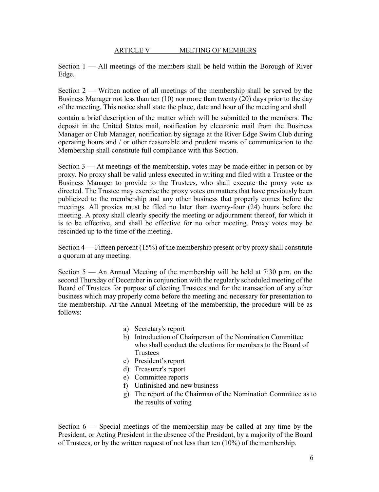## ARTICLE V MEETING OF MEMBERS

Section  $1 - A$ ll meetings of the members shall be held within the Borough of River Edge.

Section 2 — Written notice of all meetings of the membership shall be served by the Business Manager not less than ten (10) nor more than twenty (20) days prior to the day of the meeting. This notice shall state the place, date and hour of the meeting and shall

contain a brief description of the matter which will be submitted to the members. The deposit in the United States mail, notification by electronic mail from the Business Manager or Club Manager, notification by signage at the River Edge Swim Club during operating hours and / or other reasonable and prudent means of communication to the Membership shall constitute full compliance with this Section.

Section 3 — At meetings of the membership, votes may be made either in person or by proxy. No proxy shall be valid unless executed in writing and filed with a Trustee or the Business Manager to provide to the Trustees, who shall execute the proxy vote as directed. The Trustee may exercise the proxy votes on matters that have previously been publicized to the membership and any other business that properly comes before the meetings. All proxies must be filed no later than twenty-four (24) hours before the meeting. A proxy shall clearly specify the meeting or adjournment thereof, for which it is to be effective, and shall be effective for no other meeting. Proxy votes may be rescinded up to the time of the meeting.

Section  $4$  — Fifteen percent (15%) of the membership present or by proxy shall constitute a quorum at any meeting.

Section 5 — An Annual Meeting of the membership will be held at 7:30 p.m. on the second Thursday of December in conjunction with the regularly scheduled meeting of the Board of Trustees for purpose of electing Trustees and for the transaction of any other business which may properly come before the meeting and necessary for presentation to the membership. At the Annual Meeting of the membership, the procedure will be as follows:

- a) Secretary's report
- b) Introduction of Chairperson of the Nomination Committee who shall conduct the elections for members to the Board of Trustees
- c) President'sreport
- d) Treasurer's report
- e) Committee reports
- f) Unfinished and new business
- g) The report of the Chairman of the Nomination Committee as to the results of voting

Section  $6$  — Special meetings of the membership may be called at any time by the President, or Acting President in the absence of the President, by a majority of the Board of Trustees, or by the written request of not less than ten (10%) of themembership.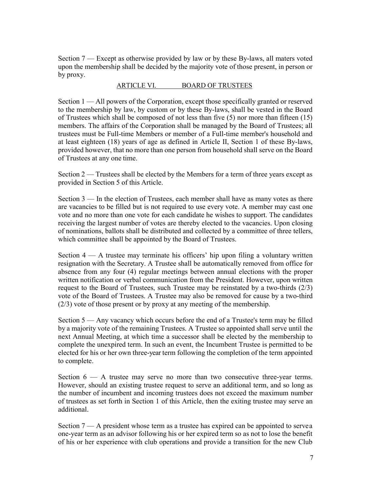Section 7 — Except as otherwise provided by law or by these By-laws, all maters voted upon the membership shall be decided by the majority vote of those present, in person or by proxy.

## ARTICLE VI. BOARD OF TRUSTEES

Section 1 — All powers of the Corporation, except those specifically granted or reserved to the membership by law, by custom or by these By-laws, shall be vested in the Board of Trustees which shall be composed of not less than five (5) nor more than fifteen (15) members. The affairs of the Corporation shall be managed by the Board of Trustees; all trustees must be Full-time Members or member of a Full-time member's household and at least eighteen (18) years of age as defined in Article II, Section 1 of these By-laws, provided however, that no more than one person from household shall serve on the Board of Trustees at any one time.

Section 2 — Trustees shall be elected by the Members for a term of three years except as provided in Section 5 of this Article.

Section 3 — In the election of Trustees, each member shall have as many votes as there are vacancies to be filled but is not required to use every vote. A member may cast one vote and no more than one vote for each candidate he wishes to support. The candidates receiving the largest number of votes are thereby elected to the vacancies. Upon closing of nominations, ballots shall be distributed and collected by a committee of three tellers, which committee shall be appointed by the Board of Trustees.

Section 4 — A trustee may terminate his officers' hip upon filing a voluntary written resignation with the Secretary. A Trustee shall be automatically removed from office for absence from any four (4) regular meetings between annual elections with the proper written notification or verbal communication from the President. However, upon written request to the Board of Trustees, such Trustee may be reinstated by a two-thirds  $(2/3)$ vote of the Board of Trustees. A Trustee may also be removed for cause by a two-third (2/3) vote of those present or by proxy at any meeting of the membership.

Section 5 — Any vacancy which occurs before the end of a Trustee's term may be filled by a majority vote of the remaining Trustees. A Trustee so appointed shall serve until the next Annual Meeting, at which time a successor shall be elected by the membership to complete the unexpired term. In such an event, the Incumbent Trustee is permitted to be elected for his or her own three-year term following the completion of the term appointed to complete.

Section  $6 - A$  trustee may serve no more than two consecutive three-year terms. However, should an existing trustee request to serve an additional term, and so long as the number of incumbent and incoming trustees does not exceed the maximum number of trustees as set forth in Section 1 of this Article, then the exiting trustee may serve an additional.

Section 7 — A president whose term as a trustee has expired can be appointed to servea one-year term as an advisor following his or her expired term so as not to lose the benefit of his or her experience with club operations and provide a transition for the new Club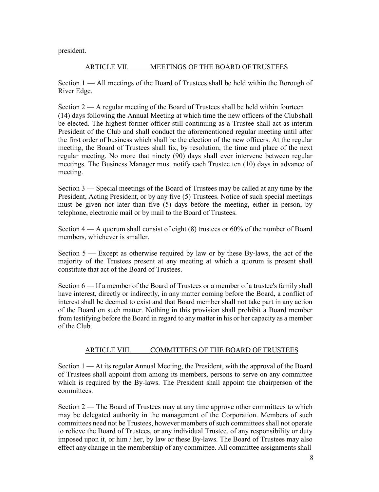president.

# ARTICLE VII. MEETINGS OF THE BOARD OFTRUSTEES

Section 1 — All meetings of the Board of Trustees shall be held within the Borough of River Edge.

Section  $2 - A$  regular meeting of the Board of Trustees shall be held within fourteen (14) days following the Annual Meeting at which time the new officers of the Clubshall be elected. The highest former officer still continuing as a Trustee shall act as interim President of the Club and shall conduct the aforementioned regular meeting until after the first order of business which shall be the election of the new officers. At the regular meeting, the Board of Trustees shall fix, by resolution, the time and place of the next regular meeting. No more that ninety (90) days shall ever intervene between regular meetings. The Business Manager must notify each Trustee ten (10) days in advance of meeting.

Section 3 — Special meetings of the Board of Trustees may be called at any time by the President, Acting President, or by any five (5) Trustees. Notice of such special meetings must be given not later than five (5) days before the meeting, either in person, by telephone, electronic mail or by mail to the Board of Trustees.

Section 4 — A quorum shall consist of eight (8) trustees or 60% of the number of Board members, whichever is smaller.

Section 5 — Except as otherwise required by law or by these By-laws, the act of the majority of the Trustees present at any meeting at which a quorum is present shall constitute that act of the Board of Trustees.

Section 6 — If a member of the Board of Trustees or a member of a trustee's family shall have interest, directly or indirectly, in any matter coming before the Board, a conflict of interest shall be deemed to exist and that Board member shall not take part in any action of the Board on such matter. Nothing in this provision shall prohibit a Board member from testifying before the Board in regard to any matter in his or her capacity as a member of the Club.

# ARTICLE VIII. COMMITTEES OF THE BOARD OFTRUSTEES

Section 1 — At its regular Annual Meeting, the President, with the approval of the Board of Trustees shall appoint from among its members, persons to serve on any committee which is required by the By-laws. The President shall appoint the chairperson of the committees.

Section 2 — The Board of Trustees may at any time approve other committees to which may be delegated authority in the management of the Corporation. Members of such committees need not be Trustees, however members of such committees shall not operate to relieve the Board of Trustees, or any individual Trustee, of any responsibility or duty imposed upon it, or him / her, by law or these By-laws. The Board of Trustees may also effect any change in the membership of any committee. All committee assignments shall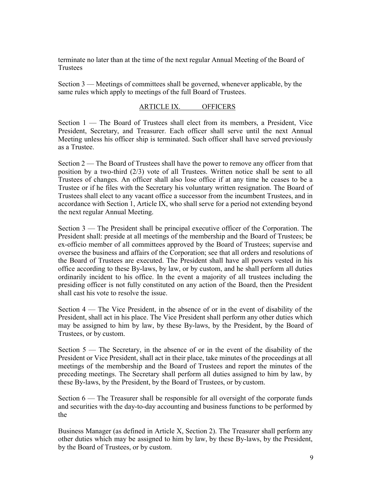terminate no later than at the time of the next regular Annual Meeting of the Board of **Trustees** 

Section 3 — Meetings of committees shall be governed, whenever applicable, by the same rules which apply to meetings of the full Board of Trustees.

## ARTICLE IX. OFFICERS

Section 1 — The Board of Trustees shall elect from its members, a President, Vice President, Secretary, and Treasurer. Each officer shall serve until the next Annual Meeting unless his officer ship is terminated. Such officer shall have served previously as a Trustee.

Section 2 — The Board of Trustees shall have the power to remove any officer from that position by a two-third (2/3) vote of all Trustees. Written notice shall be sent to all Trustees of changes. An officer shall also lose office if at any time he ceases to be a Trustee or if he files with the Secretary his voluntary written resignation. The Board of Trustees shall elect to any vacant office a successor from the incumbent Trustees, and in accordance with Section 1, Article IX, who shall serve for a period not extending beyond the next regular Annual Meeting.

Section 3 — The President shall be principal executive officer of the Corporation. The President shall: preside at all meetings of the membership and the Board of Trustees; be ex-officio member of all committees approved by the Board of Trustees; supervise and oversee the business and affairs of the Corporation; see that all orders and resolutions of the Board of Trustees are executed. The President shall have all powers vested in his office according to these By-laws, by law, or by custom, and he shall perform all duties ordinarily incident to his office. In the event a majority of all trustees including the presiding officer is not fully constituted on any action of the Board, then the President shall cast his vote to resolve the issue.

Section 4 — The Vice President, in the absence of or in the event of disability of the President, shall act in his place. The Vice President shall perform any other duties which may be assigned to him by law, by these By-laws, by the President, by the Board of Trustees, or by custom.

Section 5 — The Secretary, in the absence of or in the event of the disability of the President or Vice President, shall act in their place, take minutes of the proceedings at all meetings of the membership and the Board of Trustees and report the minutes of the preceding meetings. The Secretary shall perform all duties assigned to him by law, by these By-laws, by the President, by the Board of Trustees, or by custom.

Section  $6$  — The Treasurer shall be responsible for all oversight of the corporate funds and securities with the day-to-day accounting and business functions to be performed by the

Business Manager (as defined in Article X, Section 2). The Treasurer shall perform any other duties which may be assigned to him by law, by these By-laws, by the President, by the Board of Trustees, or by custom.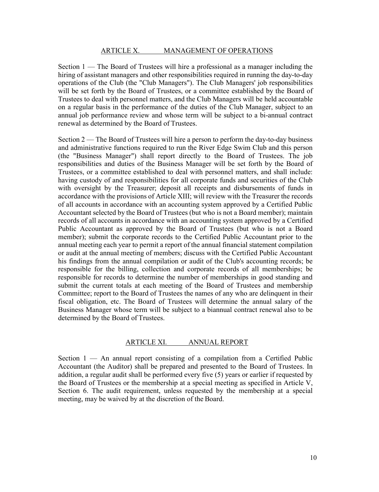#### ARTICLE X. MANAGEMENT OF OPERATIONS

Section 1 — The Board of Trustees will hire a professional as a manager including the hiring of assistant managers and other responsibilities required in running the day-to-day operations of the Club (the "Club Managers"). The Club Managers' job responsibilities will be set forth by the Board of Trustees, or a committee established by the Board of Trustees to deal with personnel matters, and the Club Managers will be held accountable on a regular basis in the performance of the duties of the Club Manager, subject to an annual job performance review and whose term will be subject to a bi-annual contract renewal as determined by the Board of Trustees.

Section 2 — The Board of Trustees will hire a person to perform the day-to-day business and administrative functions required to run the River Edge Swim Club and this person (the "Business Manager") shall report directly to the Board of Trustees. The job responsibilities and duties of the Business Manager will be set forth by the Board of Trustees, or a committee established to deal with personnel matters, and shall include: having custody of and responsibilities for all corporate funds and securities of the Club with oversight by the Treasurer; deposit all receipts and disbursements of funds in accordance with the provisions of Article XIII; will review with the Treasurer the records of all accounts in accordance with an accounting system approved by a Certified Public Accountant selected by the Board of Trustees (but who is not a Board member); maintain records of all accounts in accordance with an accounting system approved by a Certified Public Accountant as approved by the Board of Trustees (but who is not a Board member); submit the corporate records to the Certified Public Accountant prior to the annual meeting each year to permit a report of the annual financial statement compilation or audit at the annual meeting of members; discuss with the Certified Public Accountant his findings from the annual compilation or audit of the Club's accounting records; be responsible for the billing, collection and corporate records of all memberships; be responsible for records to determine the number of memberships in good standing and submit the current totals at each meeting of the Board of Trustees and membership Committee; report to the Board of Trustees the names of any who are delinquent in their fiscal obligation, etc. The Board of Trustees will determine the annual salary of the Business Manager whose term will be subject to a biannual contract renewal also to be determined by the Board of Trustees.

## ARTICLE XI. ANNUAL REPORT

Section  $1 - An$  annual report consisting of a compilation from a Certified Public Accountant (the Auditor) shall be prepared and presented to the Board of Trustees. In addition, a regular audit shall be performed every five (5) years or earlier if requested by the Board of Trustees or the membership at a special meeting as specified in Article V, Section 6. The audit requirement, unless requested by the membership at a special meeting, may be waived by at the discretion of the Board.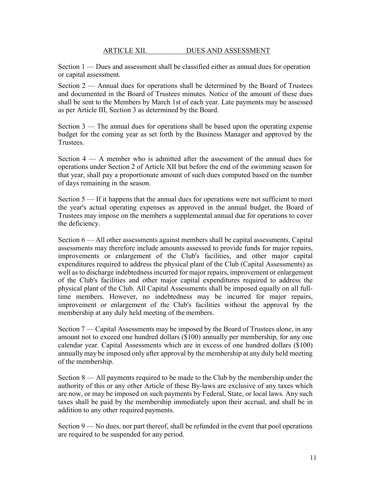Section 1 — Dues and assessment shall be classified either as annual dues for operation or capital assessment.

Section 2 — Annual dues for operations shall be determined by the Board of Trustees and documented in the Board of Trustees minutes. Notice of the amount of these dues shall be sent to the Members by March 1st of each year. Late payments may be assessed as per Article III, Section 3 as determined by the Board.

Section 3 — The annual dues for operations shall be based upon the operating expense budget for the coming year as set forth by the Business Manager and approved by the Trustees.

Section 4 — A member who is admitted after the assessment of the annual dues for operations under Section 2 of Article XII but before the end of the swimming season for that year, shall pay a proportionate amount of such dues computed based on the number of days remaining in the season.

Section 5 — If it happens that the annual dues for operations were not sufficient to meet the year's actual operating expenses as approved in the annual budget, the Board of Trustees may impose on the members a supplemental annual due for operations to cover the deficiency.

Section 6 — All other assessments against members shall be capital assessments. Capital assessments may therefore include amounts assessed to provide funds for major repairs, improvements or enlargement of the Club's facilities, and other major capital expenditures required to address the physical plant of the Club (Capital Assessments) as well asto discharge indebtedness incurred for major repairs, improvement or enlargement of the Club's facilities and other major capital expenditures required to address the physical plant of the Club. All Capital Assessments shall be imposed equally on all fulltime members. However, no indebtedness may be incurred for major repairs, improvement or enlargement of the Club's facilities without the approval by the membership at any duly held meeting of the members.

Section 7 — Capital Assessments may be imposed by the Board of Trustees alone, in any amount not to exceed one hundred dollars (\$100) annually per membership, for any one calendar year. Capital Assessments which are in excess of one hundred dollars (\$100) annually may be imposed only after approval by the membership at any duly held meeting of the membership.

Section 8 — All payments required to be made to the Club by the membership under the authority of this or any other Article of these By-laws are exclusive of any taxes which are now, or may be imposed on such payments by Federal, State, or local laws. Any such taxes shall be paid by the membership immediately upon their accrual, and shall be in addition to any other required payments.

Section 9 — No dues, nor part thereof, shall be refunded in the event that pool operations are required to be suspended for any period.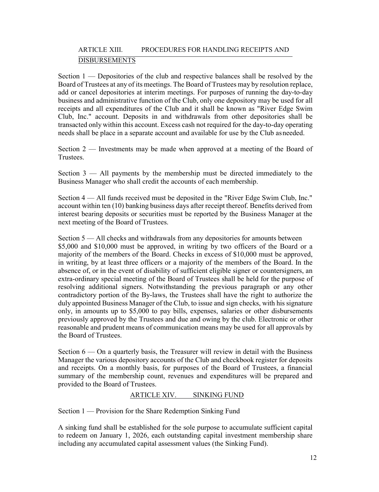# ARTICLE XIII. PROCEDURES FOR HANDLING RECEIPTS AND DISBURSEMENTS

Section 1 — Depositories of the club and respective balances shall be resolved by the Board of Trustees at any of its meetings. The Board of Trustees may by resolution replace, add or cancel depositories at interim meetings. For purposes of running the day-to-day business and administrative function of the Club, only one depository may be used for all receipts and all expenditures of the Club and it shall be known as "River Edge Swim Club, Inc." account. Deposits in and withdrawals from other depositories shall be transacted only within this account. Excess cash not required for the day-to-day operating needs shall be place in a separate account and available for use by the Club asneeded.

Section 2 — Investments may be made when approved at a meeting of the Board of Trustees.

Section 3 — All payments by the membership must be directed immediately to the Business Manager who shall credit the accounts of each membership.

Section 4 — All funds received must be deposited in the "River Edge Swim Club, Inc." account within ten (10) banking business days after receipt thereof. Benefits derived from interest bearing deposits or securities must be reported by the Business Manager at the next meeting of the Board of Trustees.

Section 5 — All checks and withdrawals from any depositories for amounts between \$5,000 and \$10,000 must be approved, in writing by two officers of the Board or a majority of the members of the Board. Checks in excess of \$10,000 must be approved, in writing, by at least three officers or a majority of the members of the Board. In the absence of, or in the event of disability of sufficient eligible signer or countersigners, an extra-ordinary special meeting of the Board of Trustees shall be held for the purpose of resolving additional signers. Notwithstanding the previous paragraph or any other contradictory portion of the By-laws, the Trustees shall have the right to authorize the duly appointed Business Manager of the Club, to issue and sign checks, with his signature only, in amounts up to \$5,000 to pay bills, expenses, salaries or other disbursements previously approved by the Trustees and due and owing by the club. Electronic or other reasonable and prudent means of communication means may be used for all approvals by the Board of Trustees.

Section  $6 -$ On a quarterly basis, the Treasurer will review in detail with the Business Manager the various depository accounts of the Club and checkbook register for deposits and receipts. On a monthly basis, for purposes of the Board of Trustees, a financial summary of the membership count, revenues and expenditures will be prepared and provided to the Board of Trustees.

## ARTICLE XIV. SINKING FUND

Section 1 — Provision for the Share Redemption Sinking Fund

A sinking fund shall be established for the sole purpose to accumulate sufficient capital to redeem on January 1, 2026, each outstanding capital investment membership share including any accumulated capital assessment values (the Sinking Fund).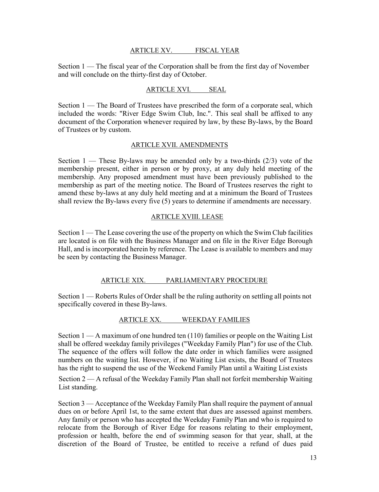## ARTICLE XV. FISCAL YEAR

Section 1 — The fiscal year of the Corporation shall be from the first day of November and will conclude on the thirty-first day of October.

## ARTICLE XVI. SEAL

Section 1 — The Board of Trustees have prescribed the form of a corporate seal, which included the words: "River Edge Swim Club, Inc.". This seal shall be affixed to any document of the Corporation whenever required by law, by these By-laws, by the Board of Trustees or by custom.

## ARTICLE XVII. AMENDMENTS

Section  $1$  — These By-laws may be amended only by a two-thirds (2/3) vote of the membership present, either in person or by proxy, at any duly held meeting of the membership. Any proposed amendment must have been previously published to the membership as part of the meeting notice. The Board of Trustees reserves the right to amend these by-laws at any duly held meeting and at a minimum the Board of Trustees shall review the By-laws every five (5) years to determine if amendments are necessary.

## ARTICLE XVIII. LEASE

Section 1 — The Lease covering the use of the property on which the Swim Club facilities are located is on file with the Business Manager and on file in the River Edge Borough Hall, and is incorporated herein by reference. The Lease is available to members and may be seen by contacting the Business Manager.

## ARTICLE XIX. PARLIAMENTARY PROCEDURE

Section 1 — Roberts Rules of Order shall be the ruling authority on settling all points not specifically covered in these By-laws.

## ARTICLE XX. WEEKDAY FAMILIES

Section  $1 - A$  maximum of one hundred ten  $(110)$  families or people on the Waiting List shall be offered weekday family privileges ("Weekday Family Plan") for use of the Club. The sequence of the offers will follow the date order in which families were assigned numbers on the waiting list. However, if no Waiting List exists, the Board of Trustees has the right to suspend the use of the Weekend Family Plan until a Waiting List exists

Section 2 — A refusal of the Weekday Family Plan shall not forfeit membership Waiting List standing.

Section 3 — Acceptance of the Weekday Family Plan shall require the payment of annual dues on or before April 1st, to the same extent that dues are assessed against members. Any family or person who has accepted the Weekday Family Plan and who is required to relocate from the Borough of River Edge for reasons relating to their employment, profession or health, before the end of swimming season for that year, shall, at the discretion of the Board of Trustee, be entitled to receive a refund of dues paid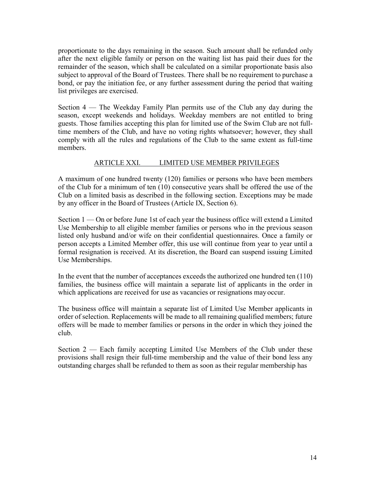proportionate to the days remaining in the season. Such amount shall be refunded only after the next eligible family or person on the waiting list has paid their dues for the remainder of the season, which shall be calculated on a similar proportionate basis also subject to approval of the Board of Trustees. There shall be no requirement to purchase a bond, or pay the initiation fee, or any further assessment during the period that waiting list privileges are exercised.

Section 4 — The Weekday Family Plan permits use of the Club any day during the season, except weekends and holidays. Weekday members are not entitled to bring guests. Those families accepting this plan for limited use of the Swim Club are not fulltime members of the Club, and have no voting rights whatsoever; however, they shall comply with all the rules and regulations of the Club to the same extent as full-time members.

## ARTICLE XXI. LIMITED USE MEMBER PRIVILEGES

A maximum of one hundred twenty (120) families or persons who have been members of the Club for a minimum of ten (10) consecutive years shall be offered the use of the Club on a limited basis as described in the following section. Exceptions may be made by any officer in the Board of Trustees (Article IX, Section 6).

Section 1 — On or before June 1st of each year the business office will extend a Limited Use Membership to all eligible member families or persons who in the previous season listed only husband and/or wife on their confidential questionnaires. Once a family or person accepts a Limited Member offer, this use will continue from year to year until a formal resignation is received. At its discretion, the Board can suspend issuing Limited Use Memberships.

In the event that the number of acceptances exceeds the authorized one hundred ten (110) families, the business office will maintain a separate list of applicants in the order in which applications are received for use as vacancies or resignations may occur.

The business office will maintain a separate list of Limited Use Member applicants in order of selection. Replacements will be made to all remaining qualified members; future offers will be made to member families or persons in the order in which they joined the club.

Section 2 — Each family accepting Limited Use Members of the Club under these provisions shall resign their full-time membership and the value of their bond less any outstanding charges shall be refunded to them as soon as their regular membership has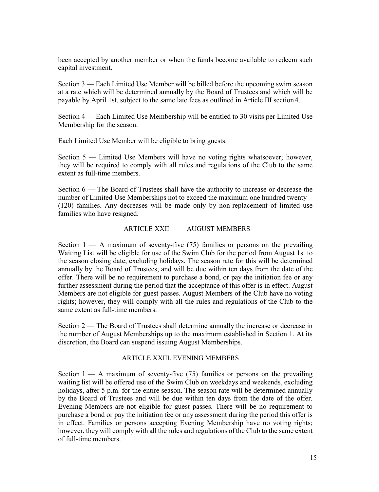been accepted by another member or when the funds become available to redeem such capital investment.

Section 3 — Each Limited Use Member will be billed before the upcoming swim season at a rate which will be determined annually by the Board of Trustees and which will be payable by April 1st, subject to the same late fees as outlined in Article III section4.

Section 4 — Each Limited Use Membership will be entitled to 30 visits per Limited Use Membership for the season.

Each Limited Use Member will be eligible to bring guests.

Section 5 — Limited Use Members will have no voting rights whatsoever; however, they will be required to comply with all rules and regulations of the Club to the same extent as full-time members.

Section 6 — The Board of Trustees shall have the authority to increase or decrease the number of Limited Use Memberships not to exceed the maximum one hundred twenty (120) families. Any decreases will be made only by non-replacement of limited use families who have resigned.

## ARTICLE XXII AUGUST MEMBERS

Section  $1 - A$  maximum of seventy-five (75) families or persons on the prevailing Waiting List will be eligible for use of the Swim Club for the period from August 1st to the season closing date, excluding holidays. The season rate for this will be determined annually by the Board of Trustees, and will be due within ten days from the date of the offer. There will be no requirement to purchase a bond, or pay the initiation fee or any further assessment during the period that the acceptance of this offer is in effect. August Members are not eligible for guest passes. August Members of the Club have no voting rights; however, they will comply with all the rules and regulations of the Club to the same extent as full-time members.

Section 2 — The Board of Trustees shall determine annually the increase or decrease in the number of August Memberships up to the maximum established in Section 1. At its discretion, the Board can suspend issuing August Memberships.

## ARTICLE XXIII. EVENING MEMBERS

Section  $1 - A$  maximum of seventy-five (75) families or persons on the prevailing waiting list will be offered use of the Swim Club on weekdays and weekends, excluding holidays, after 5 p.m. for the entire season. The season rate will be determined annually by the Board of Trustees and will be due within ten days from the date of the offer. Evening Members are not eligible for guest passes. There will be no requirement to purchase a bond or pay the initiation fee or any assessment during the period this offer is in effect. Families or persons accepting Evening Membership have no voting rights; however, they will comply with all the rules and regulations of the Club to the same extent of full-time members.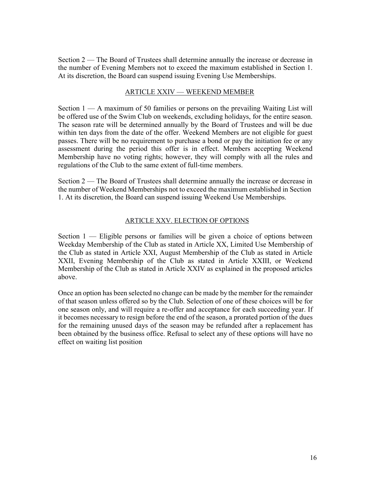Section 2 — The Board of Trustees shall determine annually the increase or decrease in the number of Evening Members not to exceed the maximum established in Section 1. At its discretion, the Board can suspend issuing Evening Use Memberships.

## ARTICLE XXIV — WEEKEND MEMBER

Section 1 — A maximum of 50 families or persons on the prevailing Waiting List will be offered use of the Swim Club on weekends, excluding holidays, for the entire season. The season rate will be determined annually by the Board of Trustees and will be due within ten days from the date of the offer. Weekend Members are not eligible for guest passes. There will be no requirement to purchase a bond or pay the initiation fee or any assessment during the period this offer is in effect. Members accepting Weekend Membership have no voting rights; however, they will comply with all the rules and regulations of the Club to the same extent of full-time members.

Section 2 — The Board of Trustees shall determine annually the increase or decrease in the number of Weekend Memberships not to exceed the maximum established in Section 1. At its discretion, the Board can suspend issuing Weekend Use Memberships.

## ARTICLE XXV. ELECTION OF OPTIONS

Section 1 — Eligible persons or families will be given a choice of options between Weekday Membership of the Club as stated in Article XX, Limited Use Membership of the Club as stated in Article XXI, August Membership of the Club as stated in Article XXII, Evening Membership of the Club as stated in Article XXIII, or Weekend Membership of the Club as stated in Article XXIV as explained in the proposed articles above.

Once an option has been selected no change can be made by the member for the remainder of that season unless offered so by the Club. Selection of one of these choices will be for one season only, and will require a re-offer and acceptance for each succeeding year. If it becomes necessary to resign before the end of the season, a prorated portion of the dues for the remaining unused days of the season may be refunded after a replacement has been obtained by the business office. Refusal to select any of these options will have no effect on waiting list position